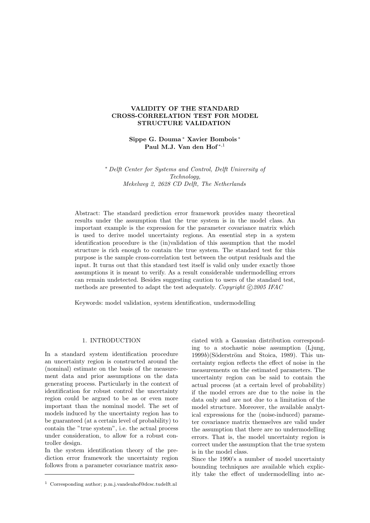## **VALIDITY OF THE STANDARD CROSS-CORRELATION TEST FOR MODEL STRUCTURE VALIDATION**

# **Sippe G. Douma** <sup>∗</sup> **Xavier Bombois** <sup>∗</sup> **Paul M.J. Van den Hof** <sup>∗</sup>,<sup>1</sup>

∗ *Delft Center for Systems and Control, Delft University of Technology, Mekelweg 2, 2628 CD Delft, The Netherlands*

Abstract: The standard prediction error framework provides many theoretical results under the assumption that the true system is in the model class. An important example is the expression for the parameter covariance matrix which is used to derive model uncertainty regions. An essential step in a system identification procedure is the (in)validation of this assumption that the model structure is rich enough to contain the true system. The standard test for this purpose is the sample cross-correlation test between the output residuals and the input. It turns out that this standard test itself is valid only under exactly those assumptions it is meant to verify. As a result considerable undermodelling errors can remain undetected. Besides suggesting caution to users of the standard test, methods are presented to adapt the test adequately. *Copyright*  $\odot$  2005 IFAC

Keywords: model validation, system identification, undermodelling

### 1. INTRODUCTION

In a standard system identification procedure an uncertainty region is constructed around the (nominal) estimate on the basis of the measurement data and prior assumptions on the data generating process. Particularly in the context of identification for robust control the uncertainty region could be argued to be as or even more important than the nominal model. The set of models induced by the uncertainty region has to be guaranteed (at a certain level of probability) to contain the "true system", i.e. the actual process under consideration, to allow for a robust controller design.

In the system identification theory of the prediction error framework the uncertainty region follows from a parameter covariance matrix associated with a Gaussian distribution corresponding to a stochastic noise assumption (Ljung,  $1999b$ )(Söderström and Stoica, 1989). This uncertainty region reflects the effect of noise in the measurements on the estimated parameters. The uncertainty region can be said to contain the actual process (at a certain level of probability) if the model errors are due to the noise in the data only and are not due to a limitation of the model structure. Moreover, the available analytical expressions for the (noise-induced) parameter covariance matrix themselves are valid under the assumption that there are no undermodelling errors. That is, the model uncertainty region is correct under the assumption that the true system is in the model class.

Since the 1990's a number of model uncertainty bounding techniques are available which explicitly take the effect of undermodelling into ac-

<sup>1</sup> Corresponding author; p.m.j.vandenhof@dcsc.tudelft.nl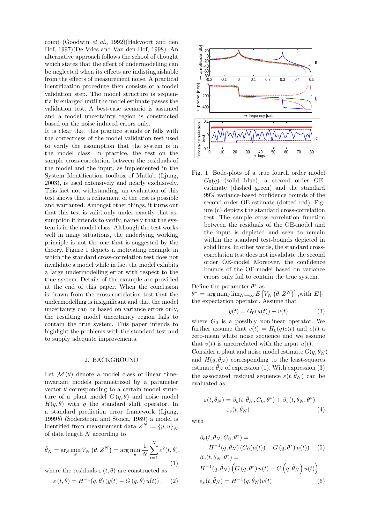count (Goodwin *et al.*, 1992)(Hakvoort and den Hof, 1997)(De Vries and Van den Hof, 1998). An alternative approach follows the school of thought which states that the effect of undermodelling can be neglected when its effects are indistinguishable from the effects of measurement noise. A practical identification procedure then consists of a model validation step. The model structure is sequentially enlarged until the model estimate passes the validation test. A best-case scenario is assumed and a model uncertainty region is constructed based on the noise induced errors only.

It is clear that this practice stands or falls with the correctness of the model validation test used to verify the assumption that the system is in the model class. In practice, the test on the sample cross-correlation between the residuals of the model and the input, as implemented in the System Identification toolbox of Matlab (Ljung, 2003), is used extensively and nearly exclusively. This fact not withstanding, an evaluation of this test shows that a refinement of the test is possible and warranted. Amongst other things, it turns out that this test is valid only under exactly that assumption it intends to verify, namely that the system is in the model class. Although the test works well in many situations, the underlying working principle is not the one that is suggested by the theory. Figure 1 depicts a motivating example in which the standard cross-correlation test does not invalidate a model while in fact the model exhibits a large undermodelling error with respect to the true system. Details of the example are provided at the end of this paper. When the conclusion is drawn from the cross-correlation test that the undermodelling is insignificant and that the model uncertainty can be based on variance errors only, the resulting model uncertainty region fails to contain the true system. This paper intends to highlight the problems with the standard test and to supply adequate improvements.

#### 2. BACKGROUND

Let  $\mathcal{M}(\theta)$  denote a model class of linear timeinvariant models parametrized by a parameter vector  $\theta$  corresponding to a certain model structure of a plant model  $G(q, \theta)$  and noise model  $H(q, \theta)$  with q the standard shift operator. In a standard prediction error framework (Ljung, 1999*b*) (Söderström and Stoica, 1989) a model is identified from measurement data  $Z^N := \{y, u\}_N$ of data length N according to

$$
\hat{\theta}_N = \arg\min_{\theta} V_N(\theta, Z^N) = \arg\min_{\theta} \frac{1}{N} \sum_{t=1}^N \varepsilon^2(t, \theta),
$$
\n(1)

where the residuals  $\varepsilon(t, \theta)$  are constructed as

$$
\varepsilon(t,\theta) = H^{-1}(q,\theta) \left( y(t) - G(q,\theta) u(t) \right). \tag{2}
$$



Fig. 1. Bode-plots of a true fourth order model  $G_0(q)$  (solid blue), a second order OEestimate (dashed green) and the standard 99% variance-based confidence bounds of the second order OE-estimate (dotted red). Figure (c) depicts the standard cross-correlation test. The sample cross-correlation function between the residuals of the OE-model and the input is depicted and seen to remain within the standard test-bounds depicted in solid lines. In other words, the standard crosscorrelation test does not invalidate the second order OE-model Moreover, the confidence bounds of the OE-model based on variance errors only fail to contain the true system.

Define the parameter  $\theta^*$  as  $\theta^* = \arg \min_{\theta} \lim_{N \to \infty} E\left[V_N\left(\theta, Z^N\right)\right],$  with  $E\left[\cdot\right]$ the expectation operator. Assume that

$$
y(t) = G_0(u(t)) + v(t)
$$
 (3)

where  $G_0$  is a possibly nonlinear operator. We further assume that  $v(t) = H_0(q)e(t)$  and  $e(t)$  a zero-mean white noise sequence and we assume that  $v(t)$  is uncorrelated with the input  $u(t)$ .

Consider a plant and noise model estimate  $G(q, \hat{\theta}_N)$ and  $H(q, \hat{\theta}_N)$  corresponding to the least-squares estimate  $\hat{\theta}_N$  of expression (1). With expression (3) the associated residual sequence  $\varepsilon(t, \theta_N)$  can be evaluated as

$$
\varepsilon(t, \hat{\theta}_N) = \beta_b(t, \hat{\theta}_N, G_0, \theta^*) + \beta_v(t, \hat{\theta}_N, \theta^*)
$$
  
 
$$
+ \varepsilon_v(t, \hat{\theta}_N)
$$
 (4)

with

$$
\beta_b(t, \hat{\theta}_N, G_0, \theta^*) =
$$
  
\n
$$
H^{-1}(q, \hat{\theta}_N) (G_0(u(t)) - G(q, \theta^*) u(t))
$$
 (5)  
\n
$$
\beta_v(t, \hat{\theta}_N, \theta^*) =
$$
  
\n
$$
H^{-1}(q, \hat{\theta}_N) (G(q, \theta^*) u(t) - G(q, \hat{\theta}_N) u(t))
$$
  
\n
$$
\varepsilon_v(t, \hat{\theta}_N) = H^{-1}(q, \hat{\theta}_N) v(t)
$$
 (6)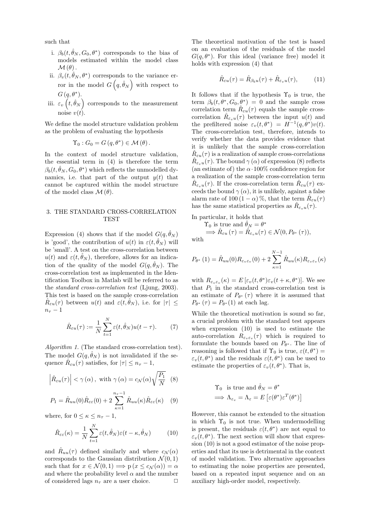such that

- i.  $\beta_b(t, \hat{\theta}_N, G_0, \theta^*)$  corresponds to the bias of models estimated within the model class  $\mathcal{M}(\theta)$ .
- ii.  $\beta_v(t, \hat{\theta}_N, \theta^*)$  corresponds to the variance error in the model  $G(q,\hat{\theta}_N)$  with respect to  $G(q, \theta^*).$
- iii.  $\varepsilon_v(t, \hat{\theta}_N)$  corresponds to the measurement noise  $v(t)$ .

We define the model structure validation problem as the problem of evaluating the hypothesis

$$
\Upsilon_0: G_0 = G(q, \theta^*) \in \mathcal{M}(\theta).
$$

In the context of model structure validation, the essential term in (4) is therefore the term  $\beta_b(t, \hat{\theta}_N, G_0, \theta^*)$  which reflects the unmodelled dynamics, i.e. that part of the output  $y(t)$  that cannot be captured within the model structure of the model class  $\mathcal{M}(\theta)$ .

## 3. THE STANDARD CROSS-CORRELATION TEST

Expression (4) shows that if the model  $G(q, \hat{\theta}_N)$ is 'good', the contribution of  $u(t)$  in  $\varepsilon(t, \hat{\theta}_N)$  will be 'small'. A test on the cross-correlation between  $u(t)$  and  $\varepsilon(t, \theta_N)$ , therefore, allows for an indication of the quality of the model  $G(q, \hat{\theta}_N)$ . The cross-correlation test as implemented in the Identification Toolbox in Matlab will be referred to as the *standard cross-correlation test* (Ljung, 2003). This test is based on the sample cross-correlation  $\hat{R}_{\varepsilon u}(\tau)$  between  $u(t)$  and  $\varepsilon(t,\theta_N)$ , i.e. for  $|\tau| \leq$  $n_{\tau}-1$ 

$$
\hat{R}_{\varepsilon u}(\tau) := \frac{1}{N} \sum_{t=1}^{N} \varepsilon(t, \hat{\theta}_N) u(t - \tau).
$$
 (7)

*Algorithm 1.* (The standard cross-correlation test). The model  $G(q, \hat{\theta}_N)$  is not invalidated if the sequence  $\hat{R}_{\varepsilon u}(\tau)$  satisfies, for  $|\tau| \leq n_{\tau} - 1$ ,

$$
\left| \hat{R}_{\varepsilon u}(\tau) \right| < \gamma(\alpha), \text{ with } \gamma(\alpha) = c_{\mathcal{N}}(\alpha) \sqrt{\frac{P_1}{N}} \tag{8}
$$

$$
P_1 = \hat{R}_{uu}(0)\hat{R}_{\varepsilon\varepsilon}(0) + 2\sum_{\kappa=1}^{n_{\tau}-1} \hat{R}_{uu}(\kappa)\hat{R}_{\varepsilon\varepsilon}(\kappa) \quad (9)
$$

where, for  $0\leq\kappa\leq n_{\tau}-1,$ 

$$
\hat{R}_{\varepsilon\varepsilon}(\kappa) = \frac{1}{N} \sum_{t=1}^{N} \varepsilon(t, \hat{\theta}_N) \varepsilon(t - \kappa, \hat{\theta}_N)
$$
(10)

and  $\hat{R}_{uu}(\tau)$  defined similarly and where  $c_{\mathcal{N}}(\alpha)$ corresponds to the Gaussian distribution  $\mathcal{N}(0, 1)$ such that for  $x \in \mathcal{N}(0, 1) \Longrightarrow p(x \leq c_{\mathcal{N}}(\alpha)) = \alpha$ and where the probability level  $\alpha$  and the number of considered lags  $n<sub>\tau</sub>$  are a user choice.

The theoretical motivation of the test is based on an evaluation of the residuals of the model  $G(q, \theta^*)$ . For this ideal (variance free) model it holds with expression (4) that

$$
\hat{R}_{\varepsilon u}(\tau) = \hat{R}_{\beta_b u}(\tau) + \hat{R}_{\varepsilon_v u}(\tau), \quad (11)
$$

It follows that if the hypothesis  $\Upsilon_0$  is true, the term  $\beta_b(t, \theta^*, G_0, \theta^*) = 0$  and the sample cross correlation term  $\hat{R}_{\varepsilon u}(\tau)$  equals the sample crosscorrelation  $\hat{R}_{\varepsilon_v u}(\tau)$  between the input  $u(t)$  and the prefiltered noise  $\varepsilon_v(t, \theta^*) = H^{-1}(q, \theta^*)v(t)$ . The cross-correlation test, therefore, intends to verify whether the data provides evidence that it is unlikely that the sample cross-correlation  $\hat{R}_{\varepsilon u}(\tau)$  is a realization of sample cross-correlations  $\hat{R}_{\varepsilon_n u}(\tau)$ . The bound  $\gamma(\alpha)$  of expression (8) reflects (an estimate of) the  $\alpha$  100% confidence region for a realization of the sample cross-correlation term  $R_{\varepsilon_n u}(\tau)$ . If the cross-correlation term  $R_{\varepsilon u}(\tau)$  exceeds the bound  $\gamma(\alpha)$ , it is unlikely, against a false alarm rate of 100 (1 –  $\alpha$ )%, that the term  $\hat{R}_{\varepsilon u}(\tau)$ has the same statistical properties as  $\hat{R}_{\varepsilon_v u}(\tau)$ .

In particular, it holds that

$$
\begin{aligned} \Upsilon_0 & \text{is true and } \hat{\theta}_N = \theta^* \\ \Longrightarrow \hat{R}_{\varepsilon u} \left( \tau \right) &= \hat{R}_{\varepsilon_v u}(\tau) \in \mathcal{N}(0, P_{\theta^*} \left( \tau \right)), \end{aligned}
$$

with

$$
P_{\theta^*}(1) = \hat{R}_{uu}(0)R_{\varepsilon_v \varepsilon_v}(0) + 2\sum_{\kappa=1}^{N-1} \hat{R}_{uu}(\kappa)R_{\varepsilon_v \varepsilon_v}(\kappa)
$$

with  $R_{\varepsilon_v \varepsilon_v}(\kappa) = E[\varepsilon_v(t,\theta^*)\varepsilon_v(t+\kappa,\theta^*)]$ . We see that  $P_1$  in the standard cross-correlation test is an estimate of  $P_{\theta^*}(\tau)$  where it is assumed that  $P_{\theta^*}(\tau) = P_{\theta^*}(1)$  at each lag.

While the theoretical motivation is sound so far, a crucial problem with the standard test appears when expression (10) is used to estimate the auto-correlation  $R_{\varepsilon_n \varepsilon_n}(\tau)$  which is required to formulate the bounds based on  $P_{\theta^*}$ . The line of reasoning is followed that if  $\Upsilon_0$  is true,  $\varepsilon(t, \theta^*)$  =  $\varepsilon_v(t, \theta^*)$  and the residuals  $\varepsilon(t, \theta^*)$  can be used to estimate the properties of  $\varepsilon_v(t,\theta^*)$ . That is,

$$
\begin{aligned} \Upsilon_0 & \text{ is true and } \hat{\theta}_N = \theta^* \\ \implies \Lambda_{\varepsilon_v} = \Lambda_{\varepsilon} = E\left[\varepsilon(\theta^*)\varepsilon^T(\theta^*)\right] \end{aligned}
$$

However, this cannot be extended to the situation in which  $\Upsilon_0$  is not true. When undermodelling is present, the residuals  $\varepsilon(t, \theta^*)$  are not equal to  $\varepsilon_v(t, \theta^*)$ . The next section will show that expression (10) is not a good estimator of the noise properties and that its use is detrimental in the context of model validation. Two alternative approaches to estimating the noise properties are presented, based on a repeated input sequence and on an auxiliary high-order model, respectively.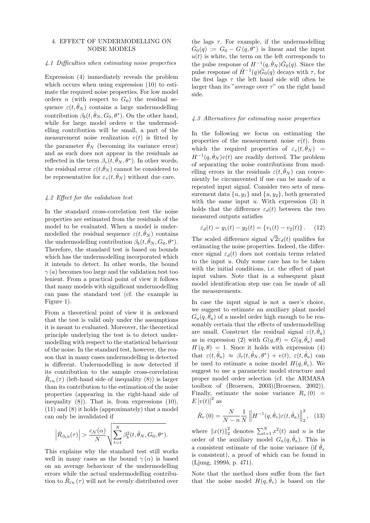### 4. EFFECT OF UNDERMODELLING ON NOISE MODELS

#### *4.1 Difficulties when estimating noise properties*

Expression (4) immediately reveals the problem which occurs when using expression (10) to estimate the required noise properties. For low model orders n (with respect to  $G_0$ ) the residual sequence  $\varepsilon(t, \hat{\theta}_N)$  contains a large undermodelling contribution  $\beta_b(t, \hat{\theta}_N, G_0, \theta^*)$ . On the other hand, while for large model orders  $n$  the undermodelling contribution will be small, a part of the measurement noise realization  $v(t)$  is fitted by the parameter  $\hat{\theta}_N$  (becoming its variance error) and as such does not appear in the residuals as reflected in the term  $\beta_v(t, \hat{\theta}_N, \theta^*)$ . In other words, the residual error  $\varepsilon(t,\hat{\theta}_N)$  cannot be considered to be representative for  $\varepsilon_v(t, \hat{\theta}_N)$  without due care.

#### *4.2 Effect for the validation test*

In the standard cross-correlation test the noise properties are estimated from the residuals of the model to be evaluated. When a model is undermodelled the residual sequence  $\varepsilon(t, \theta_N)$  contains the undermodelling contribution  $\beta_h(t, \hat{\theta}_N, G_0, \theta^*)$ . Therefore, the standard test is based on bounds which has the undermodelling incorporated which it intends to detect. In other words, the bound  $\gamma(a)$  becomes too large and the validation test too lenient. From a practical point of view it follows that many models with significant undermodelling can pass the standard test (cf. the example in Figure 1).

From a theoretical point of view it is awkward that the test is valid only under the assumptions it is meant to evaluated. Moreover, the theoretical principle underlying the test is to detect undermodelling with respect to the statistical behaviour of the noise. In the standard test, however, the reason that in many cases undermodelling is detected is different. Undermodelling is now detected if its contribution to the sample cross-correlation  $\hat{R}_{\varepsilon u}(\tau)$  (left-hand side of inequality (8)) is larger than its contribution to the estimation of the noise properties (appearing in the right-hand side of inequality  $(8)$ ). That is, from expressions  $(10)$ , (11) and (8) it holds (approximately) that a model can only be invalidated if

$$
\left|\hat{R}_{\beta_b u}(\tau)\right| > \frac{c_N(\alpha)}{N} \sqrt{\sum_{t=1}^N \beta_b^2(t, \hat{\theta}_N, G_0, \theta^*)}.
$$

This explains why the standard test still works well in many cases as the bound  $\gamma(\alpha)$  is based on an average behaviour of the undermodelling errors while the actual undermodelling contribution to  $\hat{R}_{\varepsilon u}(\tau)$  will not be evenly distributed over

the lags  $\tau$ . For example, if the undermodelling  $\overline{G}_0(q) := G_0 - G(q, \theta^*)$  is linear and the input  $u(t)$  is white, the term on the left corresponds to the pulse response of  $H^{-1}(q, \hat{\theta}_N) \overline{G}_0(q)$ . Since the pulse response of  $\hat{H}^{-1}(q)\overline{\hat{G}}_0(q)$  decays with  $\tau$ , for the first lags  $\tau$  the left hand side will often be larger than its "average over  $\tau$ " on the right hand side.

#### *4.3 Alternatives for estimating noise properties*

In the following we focus on estimating the properties of the measurement noise  $v(t)$ , from which the required properties of  $\varepsilon_v(t, \hat{\theta}_N)$  =  $H^{-1}(q,\hat{\theta}_N) v(t)$  are readily derived. The problem of separating the noise contributions from modelling errors in the residuals  $\varepsilon(t, \hat{\theta}_N)$  can conveniently be circumvented if use can be made of a repeated input signal. Consider two sets of measurement data  $\{u, y_1\}$  and  $\{u, y_2\}$ , both generated with the same input  $u$ . With expression  $(3)$  it holds that the difference  $\varepsilon_d(t)$  between the two measured outputs satisfies

$$
\varepsilon_d(t) = y_1(t) - y_2(t) = \{v_1(t) - v_2(t)\}.
$$
 (12)

The scaled difference signal  $\sqrt{2}\varepsilon_d(t)$  qualifies for estimating the noise properties. Indeed, the difference signal  $\varepsilon_d(t)$  does not contain terms related to the input  $u$ . Only some care has to be taken with the initial conditions, i.e. the effect of past input values. Note that in a subsequent plant model identification step use can be made of all the measurements.

In case the input signal is not a user's choice, we suggest to estimate an auxiliary plant model  $G_a(q, \theta_a)$  of a model order high enough to be reasonably certain that the effects of undermodelling are small. Construct the residual signal  $\varepsilon(t, \hat{\theta}_a)$ as in expression (2) with  $G(q, \theta) = G(q, \hat{\theta}_a)$  and  $H(q, \theta) = 1$ . Since it holds with expression (4) that  $\varepsilon(t, \hat{\theta}_a) \approx \beta_v(t, \hat{\theta}_N, \theta^*) + v(t), \varepsilon(t, \hat{\theta}_a)$  can be used to estimate a noise model  $H(q, \hat{\theta}_v)$ . We suggest to use a parametric model structure and proper model order selection (cf. the ARMASA toolbox of (Broersen, 2003)(Broersen, 2002)). Finally, estimate the noise variance  $R_v(0)$  =  $E[v(t)]^2$  as

$$
\hat{R}_{v}(0) = \frac{N}{N-n} \frac{1}{N} \left\| H^{-1}(q, \hat{\theta}_{v}) \varepsilon(t, \hat{\theta}_{a}) \right\|_{2}^{2}, \quad (13)
$$

where  $||x(t)||_2^2$  denotes  $\sum_{t=1}^{N} x^2(t)$  and n is the order of the auxiliary model  $G_a(q, \hat{\theta}_a)$ . This is a consistent estimate of the noise variance (if  $\hat{\theta}_v$ is consistent), a proof of which can be found in (Ljung, 1999*b*, p. 471).

Note that the method does suffer from the fact that the noise model  $H(q, \hat{\theta}_v)$  is based on the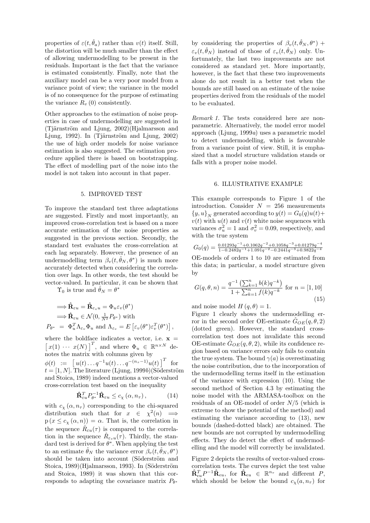properties of  $\varepsilon(t, \hat{\theta}_a)$  rather than  $v(t)$  itself. Still, the distortion will be much smaller than the effect of allowing undermodelling to be present in the residuals. Important is the fact that the variance is estimated consistently. Finally, note that the auxiliary model can be a very poor model from a variance point of view; the variance in the model is of no consequence for the purpose of estimating the variance  $R_{v}(0)$  consistently.

Other approaches to the estimation of noise properties in case of undermodelling are suggested in  $(Ti\text{ärnström}$  and Ljung,  $2002$ )(Hjalmarsson and Ljung, 1992). In (Tjärnström and Ljung,  $2002$ ) the use of high order models for noise variance estimation is also suggested. The estimation procedure applied there is based on bootstrapping. The effect of modelling part of the noise into the model is not taken into account in that paper.

#### 5. IMPROVED TEST

To improve the standard test three adaptations are suggested. Firstly and most importantly, an improved cross-correlation test is based on a more accurate estimation of the noise properties as suggested in the previous section. Secondly, the standard test evaluates the cross-correlation at each lag separately. However, the presence of an undermodelling term  $\beta_v(t, \hat{\theta}_N, \theta^*)$  is much more accurately detected when considering the correlation over lags. In other words, the test should be vector-valued. In particular, it can be shown that

 $\Upsilon_0$  is true and  $\hat{\theta}_N = \theta^*$ 

$$
\Rightarrow \hat{\mathbf{R}}_{\varepsilon u} = \hat{\mathbf{R}}_{\varepsilon_v u} = \Phi_u \varepsilon_v (\theta^*)
$$
  
\n
$$
\Rightarrow \hat{\mathbf{R}}_{\varepsilon u} \in \mathcal{N}(0, \frac{1}{N^2} P_{\theta^*}) \text{ with}
$$
  
\n
$$
P_{\theta^*} = \Phi_u^T \Lambda_{\varepsilon_v} \Phi_u \text{ and } \Lambda_{\varepsilon_v} = E \left[ \varepsilon_v (\theta^*) \varepsilon_v^T (\theta^*) \right],
$$

where the boldface indicates a vector, i.e.  $x =$  $[x(1) \cdots x(N)]^T$ , and where  $\Phi_u \in \mathbb{R}^{n \times N}$  denotes the matrix with columns given by  $\phi(t) := \left[ u(t) \dots q^{-1} u(t) \dots q^{-(n_{\tau}-1)} u(t) \right]^T$  for  $t = [1, N]$ . The literature (Ljung, 1999*b*)(Söderström and Stoica, 1989) indeed mentions a vector-valued cross-correlation test based on the inequality

$$
\hat{\mathbf{R}}_{\varepsilon u}^T P_{\theta^*}^{-1} \hat{\mathbf{R}}_{\varepsilon u} \le c_\chi \left( \alpha, n_\tau \right), \tag{14}
$$

with  $c_{\chi}(\alpha, n_{\tau})$  corresponding to the chi-squared distribution such that for  $x \in \chi^2(n) \implies$  $p(x \leq c_{\chi}(\alpha, n)) = \alpha$ . That is, the correlation in the sequence  $\hat{R}_{\varepsilon u}(\tau)$  is compared to the correlation in the sequence  $\hat{R}_{\varepsilon_n u}(\tau)$ . Thirdly, the standard test is derived for  $\theta^*$ . When applying the test to an estimate  $\hat{\theta}_N$  the variance error  $\beta_v(t, \hat{\theta}_N, \theta^*)$ should be taken into account (Söderström and Stoica, 1989)(Hjalmarsson, 1993). In (Söderström and Stoica, 1989) it was shown that this corresponds to adapting the covariance matrix  $P_{\theta^*}$ 

by considering the properties of  $\beta_v(t, \theta_N, \theta^*)$  +  $\varepsilon_v(t, \hat{\theta}_N)$  instead of those of  $\varepsilon_v(t, \hat{\theta}_N)$  only. Unfortunately, the last two improvements are not considered as standard yet. More importantly, however, is the fact that these two improvements alone do not result in a better test when the bounds are still based on an estimate of the noise properties derived from the residuals of the model to be evaluated.

*Remark 1.* The tests considered here are nonparametric. Alternatively, the model error model approach (Ljung, 1999*a*) uses a parametric model to detect undermodelling, which is favourable from a variance point of view. Still, it is emphasized that a model structure validation stands or falls with a proper noise model.

#### 6. ILLUSTRATIVE EXAMPLE

This example corresponds to Figure 1 of the introduction. Consider  $N = 256$  measurements  $\{y, u\}_N$  generated according to  $y(t) = G_0(q)u(t) +$  $v(t)$  with  $u(t)$  and  $v(t)$  white noise sequences with variances  $\sigma_u^2 = 1$  and  $\sigma_v^2 = 0.09$ , respectively, and with the true system

$$
G_0(q) = \frac{0.01293q^{-1} + 0.1062q^{-2} + 0.1058q^{-3} + 0.01279q^{-4}}{1 - 0.2482q^{-1} + 1.091q^{-2} - 0.2441q^{-3} + 0.9822q^{-4}}
$$

OE-models of orders 1 to 10 are estimated from this data; in particular, a model structure given by

$$
G(q, \theta, n) = \frac{q^{-1} \left(\sum_{k=1}^{n} b(k)q^{-k}\right)}{1 + \sum_{k=1}^{n} f(k)q^{-k}} \text{ for } n = [1, 10]
$$
\n(15)

and noise model  $H(q, \theta) = 1$ .

Figure 1 clearly shows the undermodelling error in the second order OE-estimate  $\hat{G}_{OE}(q, \theta, 2)$ (dotted green). However, the standard crosscorrelation test does not invalidate this second OE-estimate  $\hat{G}_{OE}(q, \theta, 2)$ , while its confidence region based on variance errors only fails to contain the true system. The bound  $\gamma(a)$  is overestimating the noise contribution, due to the incorporation of the undermodelling terms itself in the estimation of the variance with expression (10). Using the second method of Section 4.3 by estimating the noise model with the ARMASA-toolbox on the residuals of an OE-model of order  $N/5$  (which is extreme to show the potential of the method) and estimating the variance according to (13), new bounds (dashed-dotted black) are obtained. The new bounds are not corrupted by undermodelling effects. They do detect the effect of undermodelling and the model will correctly be invalidated.

Figure 2 depicts the results of vector-valued crosscorrelation tests. The curves depict the test value  $\mathbf{\hat{R}}_{\epsilon u}^T P^{-1} \mathbf{\hat{R}}_{\epsilon u}$ , for  $\mathbf{\hat{R}}_{\epsilon u} \in \mathbb{R}^{n_{\tau}}$  and different P, which should be below the bound  $c_{\chi}(a, n_{\tau})$  for